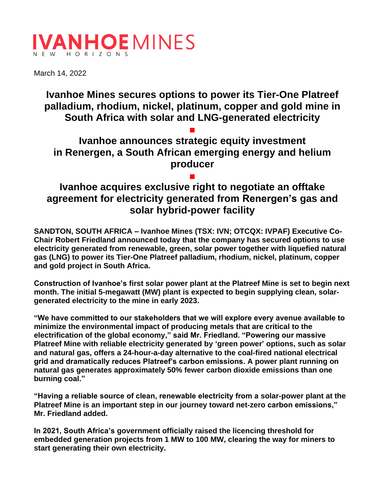# **IVANHOEMINES** HORIZON

March 14, 2022

**Ivanhoe Mines secures options to power its Tier-One Platreef palladium, rhodium, nickel, platinum, copper and gold mine in South Africa with solar and LNG-generated electricity**

**■ Ivanhoe announces strategic equity investment in Renergen, a South African emerging energy and helium producer**

## **■ Ivanhoe acquires exclusive right to negotiate an offtake agreement for electricity generated from Renergen's gas and solar hybrid-power facility**

**SANDTON, SOUTH AFRICA – Ivanhoe Mines (TSX: IVN; OTCQX: IVPAF) Executive Co-Chair Robert Friedland announced today that the company has secured options to use electricity generated from renewable, green, solar power together with liquefied natural gas (LNG) to power its Tier-One Platreef palladium, rhodium, nickel, platinum, copper and gold project in South Africa.**

**Construction of Ivanhoe's first solar power plant at the Platreef Mine is set to begin next month. The initial 5-megawatt (MW) plant is expected to begin supplying clean, solargenerated electricity to the mine in early 2023.**

**"We have committed to our stakeholders that we will explore every avenue available to minimize the environmental impact of producing metals that are critical to the electrification of the global economy," said Mr. Friedland. "Powering our massive Platreef Mine with reliable electricity generated by 'green power' options, such as solar and natural gas, offers a 24-hour-a-day alternative to the coal-fired national electrical grid and dramatically reduces Platreef's carbon emissions. A power plant running on natural gas generates approximately 50% fewer carbon dioxide emissions than one burning coal."**

**"Having a reliable source of clean, renewable electricity from a solar-power plant at the Platreef Mine is an important step in our journey toward net-zero carbon emissions," Mr. Friedland added.**

**In 2021, South Africa's government officially raised the licencing threshold for embedded generation projects from 1 MW to 100 MW, clearing the way for miners to start generating their own electricity.**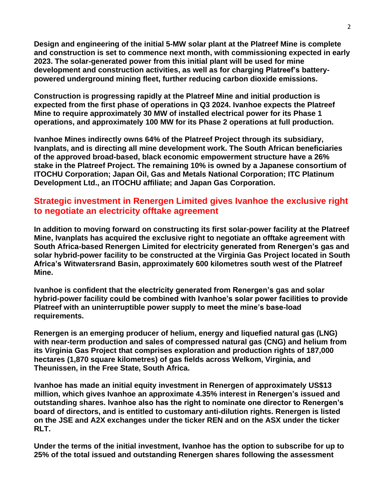**Design and engineering of the initial 5-MW solar plant at the Platreef Mine is complete and construction is set to commence next month, with commissioning expected in early 2023. The solar-generated power from this initial plant will be used for mine development and construction activities, as well as for charging Platreef's batterypowered underground mining fleet, further reducing carbon dioxide emissions.** 

**Construction is progressing rapidly at the Platreef Mine and initial production is expected from the first phase of operations in Q3 2024. Ivanhoe expects the Platreef Mine to require approximately 30 MW of installed electrical power for its Phase 1 operations, and approximately 100 MW for its Phase 2 operations at full production.** 

**Ivanhoe Mines indirectly owns 64% of the Platreef Project through its subsidiary, Ivanplats, and is directing all mine development work. The South African beneficiaries of the approved broad-based, black economic empowerment structure have a 26% stake in the Platreef Project. The remaining 10% is owned by a Japanese consortium of ITOCHU Corporation; Japan Oil, Gas and Metals National Corporation; ITC Platinum Development Ltd., an ITOCHU affiliate; and Japan Gas Corporation.**

## **Strategic investment in Renergen Limited gives Ivanhoe the exclusive right to negotiate an electricity offtake agreement**

**In addition to moving forward on constructing its first solar-power facility at the Platreef Mine, Ivanplats has acquired the exclusive right to negotiate an offtake agreement with South Africa-based Renergen Limited for electricity generated from Renergen's gas and solar hybrid-power facility to be constructed at the Virginia Gas Project located in South Africa's Witwatersrand Basin, approximately 600 kilometres south west of the Platreef Mine.**

**Ivanhoe is confident that the electricity generated from Renergen's gas and solar hybrid-power facility could be combined with Ivanhoe's solar power facilities to provide Platreef with an uninterruptible power supply to meet the mine's base-load requirements.**

**Renergen is an emerging producer of helium, energy and liquefied natural gas (LNG) with near-term production and sales of compressed natural gas (CNG) and helium from its Virginia Gas Project that comprises exploration and production rights of 187,000 hectares (1,870 square kilometres) of gas fields across Welkom, Virginia, and Theunissen, in the Free State, South Africa.**

**Ivanhoe has made an initial equity investment in Renergen of approximately US\$13 million, which gives Ivanhoe an approximate 4.35% interest in Renergen's issued and outstanding shares. Ivanhoe also has the right to nominate one director to Renergen's board of directors, and is entitled to customary anti-dilution rights. Renergen is listed on the JSE and A2X exchanges under the ticker REN and on the ASX under the ticker RLT.**

**Under the terms of the initial investment, Ivanhoe has the option to subscribe for up to 25% of the total issued and outstanding Renergen shares following the assessment**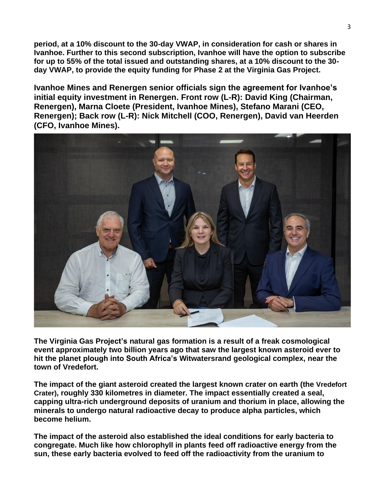**period, at a 10% discount to the 30-day VWAP, in consideration for cash or shares in Ivanhoe. Further to this second subscription, Ivanhoe will have the option to subscribe for up to 55% of the total issued and outstanding shares, at a 10% discount to the 30 day VWAP, to provide the equity funding for Phase 2 at the Virginia Gas Project.**

**Ivanhoe Mines and Renergen senior officials sign the agreement for Ivanhoe's initial equity investment in Renergen. Front row (L-R): David King (Chairman, Renergen), Marna Cloete (President, Ivanhoe Mines), Stefano Marani (CEO, Renergen); Back row (L-R): Nick Mitchell (COO, Renergen), David van Heerden (CFO, Ivanhoe Mines).**



**The Virginia Gas Project's natural gas formation is a result of a freak cosmological event approximately two billion years ago that saw the largest known asteroid ever to hit the planet plough into South Africa's Witwatersrand geological complex, near the town of Vredefort.** 

**The impact of the giant asteroid created the largest known crater on earth (the Vredefort Crater), roughly 330 kilometres in diameter. The impact essentially created a seal, capping ultra-rich underground deposits of uranium and thorium in place, allowing the minerals to undergo natural radioactive decay to produce alpha particles, which become helium.** 

**The impact of the asteroid also established the ideal conditions for early bacteria to congregate. Much like how chlorophyll in plants feed off radioactive energy from the sun, these early bacteria evolved to feed off the radioactivity from the uranium to**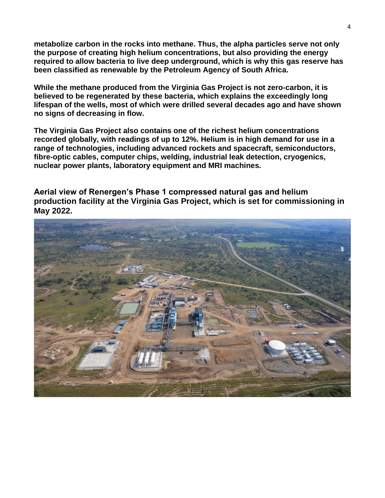**metabolize carbon in the rocks into methane. Thus, the alpha particles serve not only the purpose of creating high helium concentrations, but also providing the energy required to allow bacteria to live deep underground, which is why this gas reserve has been classified as renewable by the Petroleum Agency of South Africa.** 

**While the methane produced from the Virginia Gas Project is not zero-carbon, it is believed to be regenerated by these bacteria, which explains the exceedingly long lifespan of the wells, most of which were drilled several decades ago and have shown no signs of decreasing in flow.** 

**The Virginia Gas Project also contains one of the richest helium concentrations recorded globally, with readings of up to 12%. Helium is in high demand for use in a range of technologies, including advanced rockets and spacecraft, semiconductors, fibre-optic cables, computer chips, welding, industrial leak detection, cryogenics, nuclear power plants, laboratory equipment and MRI machines.**

**Aerial view of Renergen's Phase 1 compressed natural gas and helium production facility at the Virginia Gas Project, which is set for commissioning in May 2022.** 

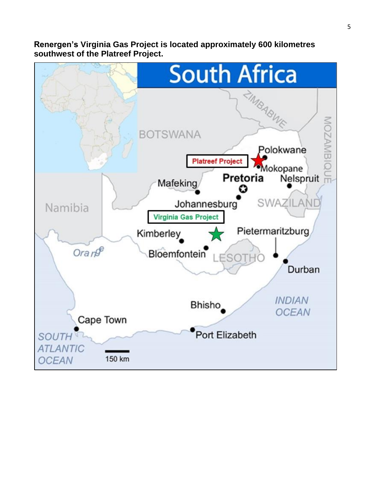**Renergen's Virginia Gas Project is located approximately 600 kilometres southwest of the Platreef Project.**

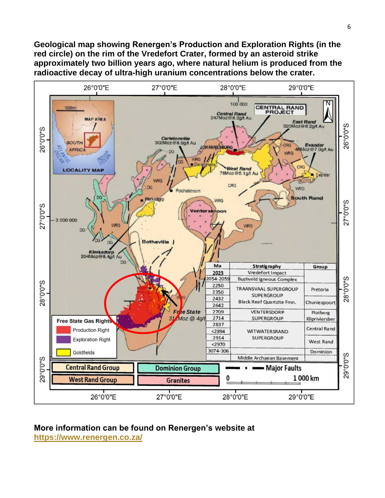**Geological map showing Renergen's Production and Exploration Rights (in the red circle) on the rim of the Vredefort Crater, formed by an asteroid strike approximately two billion years ago, where natural helium is produced from the radioactive decay of ultra-high uranium concentrations below the crater.**



#### **More information can be found on Renergen's website at <https://www.renergen.co.za/>**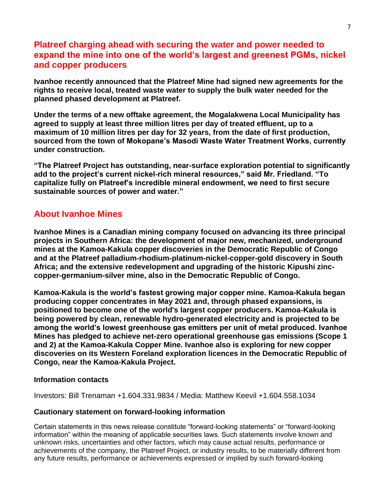## **Platreef charging ahead with securing the water and power needed to expand the mine into one of the world's largest and greenest PGMs, nickel and copper producers**

**Ivanhoe recently announced that the Platreef Mine had signed new agreements for the rights to receive local, treated waste water to supply the bulk water needed for the planned phased development at Platreef.** 

**Under the terms of a new offtake agreement, the Mogalakwena Local Municipality has agreed to supply at least three million litres per day of treated effluent, up to a maximum of 10 million litres per day for 32 years, from the date of first production, sourced from the town of Mokopane's Masodi Waste Water Treatment Works, currently under construction.**

**"The Platreef Project has outstanding, near-surface exploration potential to significantly add to the project's current nickel-rich mineral resources," said Mr. Friedland. "To capitalize fully on Platreef's incredible mineral endowment, we need to first secure sustainable sources of power and water."**

### **About Ivanhoe Mines**

**Ivanhoe Mines is a Canadian mining company focused on advancing its three principal projects in Southern Africa: the development of major new, mechanized, underground mines at the Kamoa-Kakula copper discoveries in the Democratic Republic of Congo and at the Platreef palladium-rhodium-platinum-nickel-copper-gold discovery in South Africa; and the extensive redevelopment and upgrading of the historic Kipushi zinccopper-germanium-silver mine, also in the Democratic Republic of Congo.** 

**Kamoa-Kakula is the world's fastest growing major copper mine. Kamoa-Kakula began producing copper concentrates in May 2021 and, through phased expansions, is positioned to become one of the world's largest copper producers. Kamoa-Kakula is being powered by clean, renewable hydro-generated electricity and is projected to be among the world's lowest greenhouse gas emitters per unit of metal produced. Ivanhoe Mines has pledged to achieve net-zero operational greenhouse gas emissions (Scope 1 and 2) at the Kamoa-Kakula Copper Mine. Ivanhoe also is exploring for new copper discoveries on its Western Foreland exploration licences in the Democratic Republic of Congo, near the Kamoa-Kakula Project.** 

#### **Information contacts**

Investors: Bill Trenaman +1.604.331.9834 / Media: Matthew Keevil +1.604.558.1034

#### **Cautionary statement on forward-looking information**

Certain statements in this news release constitute "forward-looking statements" or "forward-looking information" within the meaning of applicable securities laws. Such statements involve known and unknown risks, uncertainties and other factors, which may cause actual results, performance or achievements of the company, the Platreef Project, or industry results, to be materially different from any future results, performance or achievements expressed or implied by such forward-looking